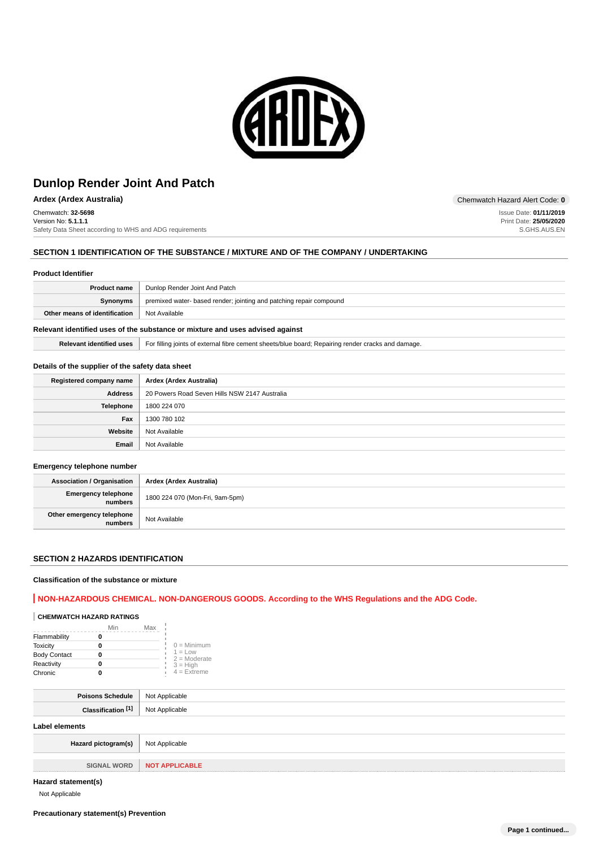

Chemwatch: **32-5698** Version No: **5.1.1.1** Safety Data Sheet according to WHS and ADG requirements

### **SECTION 1 IDENTIFICATION OF THE SUBSTANCE / MIXTURE AND OF THE COMPANY / UNDERTAKING**

#### **Product Identifier**

|                               | <b>Product name</b>   Dunlop Render Joint And Patch                 |
|-------------------------------|---------------------------------------------------------------------|
| Synonyms                      | premixed water- based render; jointing and patching repair compound |
| Other means of identification | Not Available                                                       |
|                               |                                                                     |

## **Relevant identified uses of the substance or mixture and uses advised against**

**Relevant identified uses** For filling joints of external fibre cement sheets/blue board; Repairing render cracks and damage.

#### **Details of the supplier of the safety data sheet**

| Registered company name | Ardex (Ardex Australia)                       |
|-------------------------|-----------------------------------------------|
| Address                 | 20 Powers Road Seven Hills NSW 2147 Australia |
| Telephone               | 1800 224 070                                  |
| Fax                     | 1300 780 102                                  |
| Website                 | Not Available                                 |
| Email                   | Not Available                                 |

#### **Emergency telephone number**

| <b>Association / Organisation</b>    | Ardex (Ardex Australia)         |
|--------------------------------------|---------------------------------|
| Emergency telephone<br>numbers       | 1800 224 070 (Mon-Fri, 9am-5pm) |
| Other emergency telephone<br>numbers | Not Available                   |

## **SECTION 2 HAZARDS IDENTIFICATION**

#### **Classification of the substance or mixture**

### **NON-HAZARDOUS CHEMICAL. NON-DANGEROUS GOODS. According to the WHS Regulations and the ADG Code.**

## **CHEMWATCH HAZARD RATINGS**

|                     | Min | Max |                             |
|---------------------|-----|-----|-----------------------------|
| Flammability        |     |     |                             |
| <b>Toxicity</b>     |     |     | $0 =$ Minimum               |
| <b>Body Contact</b> |     |     | $1 = Low$<br>$2 =$ Moderate |
| Reactivity          |     |     | $3 = High$                  |
| Chronic             |     |     | $4 =$ Extreme               |

| Poisons Schedule   Not Applicable    |                       |
|--------------------------------------|-----------------------|
| Classification <sup>[1]</sup>        | Not Applicable        |
| <b>Label elements</b>                |                       |
| Hazard pictogram(s)   Not Applicable |                       |
|                                      |                       |
| <b>SIGNAL WORD</b>                   | <b>NOT APPLICABLE</b> |

#### **Hazard statement(s)**

Not Applicable

**Ardex (Ardex Australia)** Chemwatch Hazard Alert Code: **0**

Issue Date: **01/11/2019** Print Date: **25/05/2020** S.GHS.AUS.EN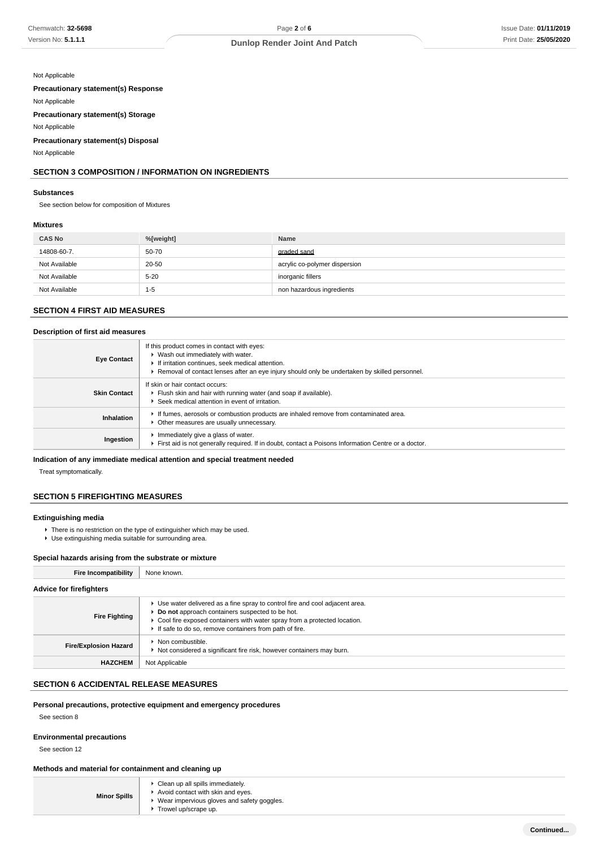#### Not Applicable

**Precautionary statement(s) Response**

Not Applicable

**Precautionary statement(s) Storage**

Not Applicable

**Precautionary statement(s) Disposal**

Not Applicable

# **SECTION 3 COMPOSITION / INFORMATION ON INGREDIENTS**

## **Substances**

See section below for composition of Mixtures

## **Mixtures**

| <b>CAS No</b> | %[weight] | <b>Name</b>                   |
|---------------|-----------|-------------------------------|
| 14808-60-7.   | 50-70     | graded sand                   |
| Not Available | 20-50     | acrylic co-polymer dispersion |
| Not Available | $5 - 20$  | inorganic fillers             |
| Not Available | $1 - 5$   | non hazardous ingredients     |

## **SECTION 4 FIRST AID MEASURES**

#### **Description of first aid measures**

| <b>Eye Contact</b>  | If this product comes in contact with eyes:<br>▶ Wash out immediately with water.<br>If irritation continues, seek medical attention.<br>Removal of contact lenses after an eye injury should only be undertaken by skilled personnel. |
|---------------------|----------------------------------------------------------------------------------------------------------------------------------------------------------------------------------------------------------------------------------------|
| <b>Skin Contact</b> | If skin or hair contact occurs:<br>Flush skin and hair with running water (and soap if available).<br>Seek medical attention in event of irritation.                                                                                   |
| Inhalation          | If fumes, aerosols or combustion products are inhaled remove from contaminated area.<br>• Other measures are usually unnecessary.                                                                                                      |
| Ingestion           | Immediately give a glass of water.<br>First aid is not generally required. If in doubt, contact a Poisons Information Centre or a doctor.                                                                                              |

## **Indication of any immediate medical attention and special treatment needed**

Treat symptomatically.

### **SECTION 5 FIREFIGHTING MEASURES**

#### **Extinguishing media**

- There is no restriction on the type of extinguisher which may be used.
- Use extinguishing media suitable for surrounding area.

## **Special hazards arising from the substrate or mixture**

| <b>Fire Incompatibility</b>    | None known.                                                                                                                                                                                                                                                              |
|--------------------------------|--------------------------------------------------------------------------------------------------------------------------------------------------------------------------------------------------------------------------------------------------------------------------|
| <b>Advice for firefighters</b> |                                                                                                                                                                                                                                                                          |
| <b>Fire Fighting</b>           | ► Use water delivered as a fine spray to control fire and cool adjacent area.<br>Do not approach containers suspected to be hot.<br>• Cool fire exposed containers with water spray from a protected location.<br>If safe to do so, remove containers from path of fire. |
| <b>Fire/Explosion Hazard</b>   | ▶ Non combustible.<br>Not considered a significant fire risk, however containers may burn.                                                                                                                                                                               |
| <b>HAZCHEM</b>                 | Not Applicable                                                                                                                                                                                                                                                           |

## **SECTION 6 ACCIDENTAL RELEASE MEASURES**

### **Personal precautions, protective equipment and emergency procedures**

See section 8

#### **Environmental precautions**

See section 12

# **Methods and material for containment and cleaning up**

| • Clean up all spills immediately.<br>Avoid contact with skin and eyes.<br><b>Minor Spills</b><br>▶ Wear impervious gloves and safety goggles.<br>$\triangleright$ Trowel up/scrape up. |
|-----------------------------------------------------------------------------------------------------------------------------------------------------------------------------------------|
|-----------------------------------------------------------------------------------------------------------------------------------------------------------------------------------------|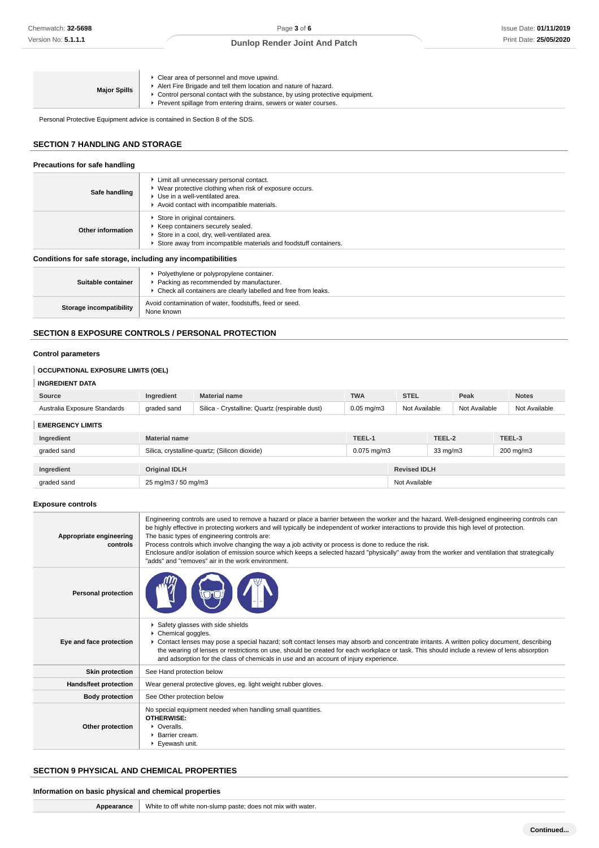| • Clear area of personnel and move upwind.<br>Alert Fire Brigade and tell them location and nature of hazard.<br><b>Major Spills</b><br>► Control personal contact with the substance, by using protective equipment.<br>Prevent spillage from entering drains, sewers or water courses. |  |
|------------------------------------------------------------------------------------------------------------------------------------------------------------------------------------------------------------------------------------------------------------------------------------------|--|
|------------------------------------------------------------------------------------------------------------------------------------------------------------------------------------------------------------------------------------------------------------------------------------------|--|

Personal Protective Equipment advice is contained in Section 8 of the SDS.

## **SECTION 7 HANDLING AND STORAGE**

#### **Precautions for safe handling Safe handling**  $\blacktriangleright$  Limit all unnecessary personal contact. Wear protective clothing when risk of exposure occurs. Use in a well-ventilated area. Avoid contact with incompatible materials. **Other information** Store in original containers.  $\blacktriangleright$  Keep containers securely sealed. Store in a cool, dry, well-ventilated area. Store away from incompatible materials and foodstuff containers. **Conditions for safe storage, including any incompatibilities Suitable container Polyethylene or polypropylene container.** Packing as recommended by manufacturer. ▶ Check all containers are clearly labelled and free from leaks. **Storage incompatibility** Avoid contamination of water, foodstuffs, feed or seed. None known

## **SECTION 8 EXPOSURE CONTROLS / PERSONAL PROTECTION**

## **Control parameters**

# **OCCUPATIONAL EXPOSURE LIMITS (OEL)**

# **INGREDIENT DATA**

| Source                       | <b>Material name</b><br>Ingredient |                                                | <b>TWA</b><br><b>STEL</b> |                  | Peak   | <b>Notes</b>      |               |  |
|------------------------------|------------------------------------|------------------------------------------------|---------------------------|------------------|--------|-------------------|---------------|--|
| Australia Exposure Standards | graded sand                        | Silica - Crystalline: Quartz (respirable dust) | $0.05$ mg/m $3$           | Not Available    |        | Not Available     | Not Available |  |
| <b>EMERGENCY LIMITS</b>      |                                    |                                                |                           |                  |        |                   |               |  |
| Ingredient                   | <b>Material name</b>               |                                                | TEEL-1                    |                  | TEEL-2 |                   | TEEL-3        |  |
| graded sand                  |                                    | Silica, crystalline-quartz; (Silicon dioxide)  |                           | $0.075$ mg/m $3$ |        | $33 \text{ mg/m}$ | 200 mg/m3     |  |
|                              |                                    |                                                |                           |                  |        |                   |               |  |
| Ingredient                   | <b>Original IDLH</b>               |                                                | <b>Revised IDLH</b>       |                  |        |                   |               |  |
| graded sand                  | 25 mg/m3 / 50 mg/m3                |                                                |                           | Not Available    |        |                   |               |  |

### **Exposure controls**

| Appropriate engineering<br>controls | Engineering controls are used to remove a hazard or place a barrier between the worker and the hazard. Well-designed engineering controls can<br>be highly effective in protecting workers and will typically be independent of worker interactions to provide this high level of protection.<br>The basic types of engineering controls are:<br>Process controls which involve changing the way a job activity or process is done to reduce the risk.<br>Enclosure and/or isolation of emission source which keeps a selected hazard "physically" away from the worker and ventilation that strategically<br>"adds" and "removes" air in the work environment. |
|-------------------------------------|-----------------------------------------------------------------------------------------------------------------------------------------------------------------------------------------------------------------------------------------------------------------------------------------------------------------------------------------------------------------------------------------------------------------------------------------------------------------------------------------------------------------------------------------------------------------------------------------------------------------------------------------------------------------|
| <b>Personal protection</b>          |                                                                                                                                                                                                                                                                                                                                                                                                                                                                                                                                                                                                                                                                 |
| Eye and face protection             | Safety glasses with side shields<br>Chemical goggles.<br>► Contact lenses may pose a special hazard; soft contact lenses may absorb and concentrate irritants. A written policy document, describing<br>the wearing of lenses or restrictions on use, should be created for each workplace or task. This should include a review of lens absorption<br>and adsorption for the class of chemicals in use and an account of injury experience.                                                                                                                                                                                                                    |
| <b>Skin protection</b>              | See Hand protection below                                                                                                                                                                                                                                                                                                                                                                                                                                                                                                                                                                                                                                       |
| Hands/feet protection               | Wear general protective gloves, eg. light weight rubber gloves.                                                                                                                                                                                                                                                                                                                                                                                                                                                                                                                                                                                                 |
| <b>Body protection</b>              | See Other protection below                                                                                                                                                                                                                                                                                                                                                                                                                                                                                                                                                                                                                                      |
| Other protection                    | No special equipment needed when handling small quantities.<br><b>OTHERWISE:</b><br>$\triangleright$ Overalls.<br>▶ Barrier cream.<br>Eyewash unit.                                                                                                                                                                                                                                                                                                                                                                                                                                                                                                             |

# **SECTION 9 PHYSICAL AND CHEMICAL PROPERTIES**

### **Information on basic physical and chemical properties**

| Appearance   White to off white non-slump paste; does not mix with water. |
|---------------------------------------------------------------------------|
|                                                                           |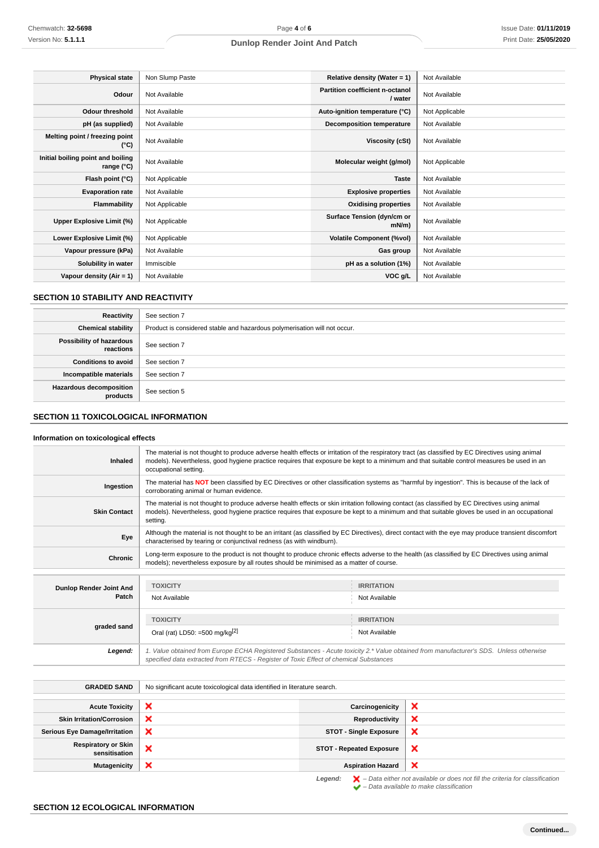| <b>Physical state</b>                           | Non Slump Paste | Relative density (Water = 1)               | Not Available  |
|-------------------------------------------------|-----------------|--------------------------------------------|----------------|
| Odour                                           | Not Available   | Partition coefficient n-octanol<br>/ water | Not Available  |
| <b>Odour threshold</b>                          | Not Available   | Auto-ignition temperature (°C)             | Not Applicable |
| pH (as supplied)                                | Not Available   | Decomposition temperature                  | Not Available  |
| Melting point / freezing point<br>(°C)          | Not Available   | Viscosity (cSt)                            | Not Available  |
| Initial boiling point and boiling<br>range (°C) | Not Available   | Molecular weight (g/mol)                   | Not Applicable |
| Flash point (°C)                                | Not Applicable  | <b>Taste</b>                               | Not Available  |
| <b>Evaporation rate</b>                         | Not Available   | <b>Explosive properties</b>                | Not Available  |
| Flammability                                    | Not Applicable  | <b>Oxidising properties</b>                | Not Available  |
| Upper Explosive Limit (%)                       | Not Applicable  | Surface Tension (dyn/cm or<br>$mN/m$ )     | Not Available  |
| Lower Explosive Limit (%)                       | Not Applicable  | <b>Volatile Component (%vol)</b>           | Not Available  |
| Vapour pressure (kPa)                           | Not Available   | Gas group                                  | Not Available  |
| Solubility in water                             | Immiscible      | pH as a solution (1%)                      | Not Available  |
| Vapour density (Air = 1)                        | Not Available   | VOC g/L                                    | Not Available  |

# **SECTION 10 STABILITY AND REACTIVITY**

| Reactivity                                 | See section 7                                                             |
|--------------------------------------------|---------------------------------------------------------------------------|
| <b>Chemical stability</b>                  | Product is considered stable and hazardous polymerisation will not occur. |
| Possibility of hazardous<br>reactions      | See section 7                                                             |
| <b>Conditions to avoid</b>                 | See section 7                                                             |
| Incompatible materials                     | See section 7                                                             |
| <b>Hazardous decomposition</b><br>products | See section 5                                                             |

# **SECTION 11 TOXICOLOGICAL INFORMATION**

# **Information on toxicological effects**

| Inhaled             | The material is not thought to produce adverse health effects or irritation of the respiratory tract (as classified by EC Directives using animal<br>models). Nevertheless, good hygiene practice requires that exposure be kept to a minimum and that suitable control measures be used in an<br>occupational setting. |
|---------------------|-------------------------------------------------------------------------------------------------------------------------------------------------------------------------------------------------------------------------------------------------------------------------------------------------------------------------|
| Ingestion           | The material has NOT been classified by EC Directives or other classification systems as "harmful by ingestion". This is because of the lack of<br>corroborating animal or human evidence.                                                                                                                              |
| <b>Skin Contact</b> | The material is not thought to produce adverse health effects or skin irritation following contact (as classified by EC Directives using animal<br>models). Nevertheless, good hygiene practice requires that exposure be kept to a minimum and that suitable gloves be used in an occupational<br>setting.             |
| Eye                 | Although the material is not thought to be an irritant (as classified by EC Directives), direct contact with the eye may produce transient discomfort<br>characterised by tearing or conjunctival redness (as with windburn).                                                                                           |
| Chronic             | Long-term exposure to the product is not thought to produce chronic effects adverse to the health (as classified by EC Directives using animal<br>models); nevertheless exposure by all routes should be minimised as a matter of course.                                                                               |
|                     |                                                                                                                                                                                                                                                                                                                         |

| Dunlop Render Joint And<br>Patch | <b>TOXICITY</b>                                                                                                                                                                                                                 | <b>IRRITATION</b> |
|----------------------------------|---------------------------------------------------------------------------------------------------------------------------------------------------------------------------------------------------------------------------------|-------------------|
|                                  | Not Available                                                                                                                                                                                                                   | Not Available     |
|                                  |                                                                                                                                                                                                                                 |                   |
|                                  | <b>TOXICITY</b>                                                                                                                                                                                                                 | <b>IRRITATION</b> |
| graded sand                      | Oral (rat) LD50: =500 mg/kg <sup>[2]</sup>                                                                                                                                                                                      | Not Available     |
| Legend:                          | 1. Value obtained from Europe ECHA Registered Substances - Acute toxicity 2.* Value obtained from manufacturer's SDS. Unless otherwise<br>specified data extracted from RTECS - Register of Toxic Effect of chemical Substances |                   |

| <b>GRADED SAND</b>                          | No significant acute toxicological data identified in literature search. |                                 |                                                                                                    |
|---------------------------------------------|--------------------------------------------------------------------------|---------------------------------|----------------------------------------------------------------------------------------------------|
| <b>Acute Toxicity</b>                       | ×                                                                        | Carcinogenicity                 | ×                                                                                                  |
| <b>Skin Irritation/Corrosion</b>            | ×                                                                        | Reproductivity                  | ×                                                                                                  |
| <b>Serious Eye Damage/Irritation</b>        | ×                                                                        | <b>STOT - Single Exposure</b>   | ×                                                                                                  |
| <b>Respiratory or Skin</b><br>sensitisation | ×                                                                        | <b>STOT - Repeated Exposure</b> | ×                                                                                                  |
| <b>Mutagenicity</b>                         | ×                                                                        | <b>Aspiration Hazard</b>        | ×                                                                                                  |
|                                             |                                                                          | Legend:                         | $\blacktriangleright$ - Data either not available or does not fill the criteria for classification |

 $\blacktriangleright$  – Data available to make classification

# **SECTION 12 ECOLOGICAL INFORMATION**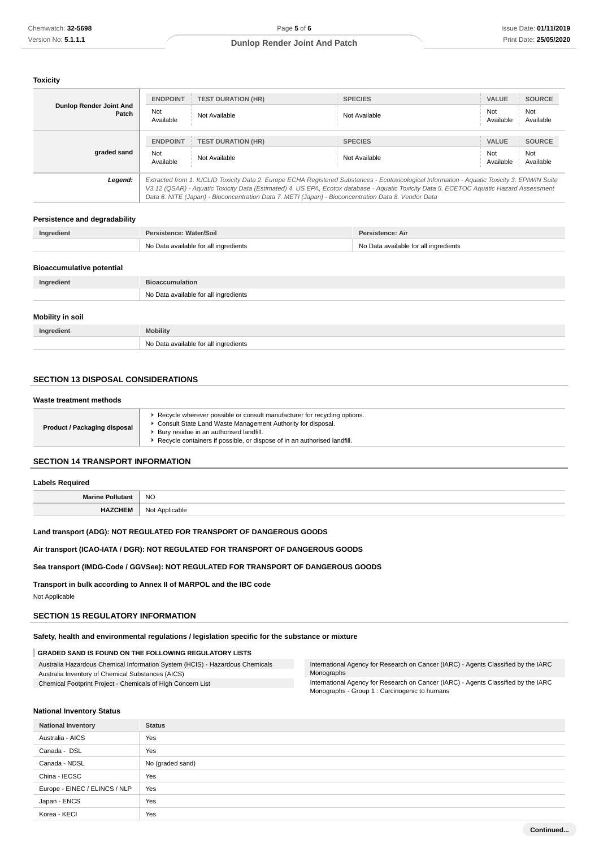#### **Toxicity**

| Dunlop Render Joint And<br>Patch | <b>ENDPOINT</b>                                                                                                                                                                                                                                                                                                                                                                                 | <b>TEST DURATION (HR)</b> | <b>SPECIES</b> | <b>VALUE</b>     | <b>SOURCE</b>    |
|----------------------------------|-------------------------------------------------------------------------------------------------------------------------------------------------------------------------------------------------------------------------------------------------------------------------------------------------------------------------------------------------------------------------------------------------|---------------------------|----------------|------------------|------------------|
|                                  | Not<br>Available                                                                                                                                                                                                                                                                                                                                                                                | Not Available             | Not Available  | Not<br>Available | Not<br>Available |
|                                  | <b>ENDPOINT</b>                                                                                                                                                                                                                                                                                                                                                                                 | <b>TEST DURATION (HR)</b> | <b>SPECIES</b> | <b>VALUE</b>     | <b>SOURCE</b>    |
| graded sand                      | Not<br>Available                                                                                                                                                                                                                                                                                                                                                                                | Not Available             | Not Available  | Not<br>Available | Not<br>Available |
| Legend:                          | Extracted from 1. IUCLID Toxicity Data 2. Europe ECHA Registered Substances - Ecotoxicological Information - Aquatic Toxicity 3. EPIWIN Suite<br>V3.12 (QSAR) - Aquatic Toxicity Data (Estimated) 4. US EPA, Ecotox database - Aquatic Toxicity Data 5. ECETOC Aquatic Hazard Assessment<br>Data 6. NITE (Japan) - Bioconcentration Data 7. METI (Japan) - Bioconcentration Data 8. Vendor Data |                           |                |                  |                  |

#### **Persistence and degradability**

| Ingredient | Persistence: Water/Soil               | Persistence: Air                      |
|------------|---------------------------------------|---------------------------------------|
|            | No Data available for all ingredients | No Data available for all ingredients |

#### **Bioaccumulative potential**

| Ingredient              | <b>Bioaccumulation</b>                |
|-------------------------|---------------------------------------|
|                         | No Data available for all ingredients |
| <b>Mobility in soil</b> |                                       |
| Ingredient              | <b>Mobility</b>                       |

## **SECTION 13 DISPOSAL CONSIDERATIONS**

#### **Waste treatment methods**

| <b>Product / Packaging disposal</b> | ► Recycle wherever possible or consult manufacturer for recycling options.<br>Consult State Land Waste Management Authority for disposal.<br>* Bury residue in an authorised landfill.<br>Recycle containers if possible, or dispose of in an authorised landfill. |
|-------------------------------------|--------------------------------------------------------------------------------------------------------------------------------------------------------------------------------------------------------------------------------------------------------------------|
|-------------------------------------|--------------------------------------------------------------------------------------------------------------------------------------------------------------------------------------------------------------------------------------------------------------------|

# **SECTION 14 TRANSPORT INFORMATION**

# **Labels Required Marine Pollutant** NO **HAZCHEM** Not Applicable

### **Land transport (ADG): NOT REGULATED FOR TRANSPORT OF DANGEROUS GOODS**

**Air transport (ICAO-IATA / DGR): NOT REGULATED FOR TRANSPORT OF DANGEROUS GOODS**

No Data available for all ingredients

## **Sea transport (IMDG-Code / GGVSee): NOT REGULATED FOR TRANSPORT OF DANGEROUS GOODS**

**Transport in bulk according to Annex II of MARPOL and the IBC code**

Not Applicable

### **SECTION 15 REGULATORY INFORMATION**

Australia Inventory of Chemical Substances (AICS)

## **Safety, health and environmental regulations / legislation specific for the substance or mixture**

#### **GRADED SAND IS FOUND ON THE FOLLOWING REGULATORY LISTS**

Australia Hazardous Chemical Information System (HCIS) - Hazardous Chemicals International Agency for Research on Cancer (IARC) - Agents Classified by the IARC Monographs

Chemical Footprint Project - Chemicals of High Concern List

International Agency for Research on Cancer (IARC) - Agents Classified by the IARC Monographs - Group 1 : Carcinogenic to humans

#### **National Inventory Status**

| <b>National Inventory</b>     | <b>Status</b>    |
|-------------------------------|------------------|
| Australia - AICS              | Yes              |
| Canada - DSL                  | Yes              |
| Canada - NDSL                 | No (graded sand) |
| China - IECSC                 | Yes              |
| Europe - EINEC / ELINCS / NLP | Yes              |
| Japan - ENCS                  | Yes              |
| Korea - KECI                  | Yes              |